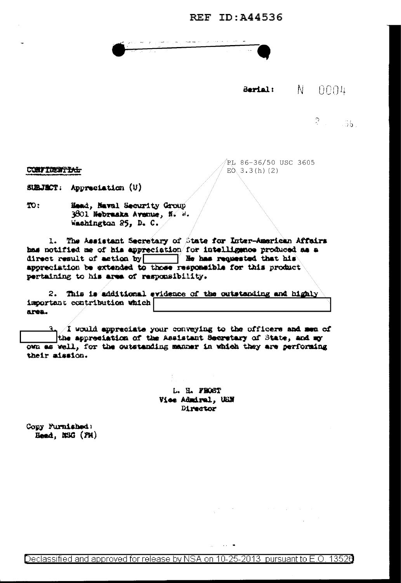## **REF ID: A44536**

## N. Sarial:  $0004$

 $2 - 36.$ 

PL 86-36/50 USC 3605  $E0, 3.3(h)$  (2)

CONFIDENTIAL

SUBJECT: Appreciation (U)

TO: Head, Naval Security Group 3801 Nebruska Avenue, N. W. Washington 25, D. C.

The Assistant Secretary of State for Inter-American Affairs  $1.$ has notified me of his appreciation/for intelligence produced as a appreciation be extended to those responsible for this product pertaining to his area of responsibility.

2. This is additional evidence of the outstanding and highly important contribution which area.

 $3.1$  would appreciate your conveying to the officers and men of the appreciation of the Assistant Secretary of State, and my own as well, for the outstanding manner in which they are performing their aission.

> L. H. FROST Vice Admiral, UEN Director

Copy Furnished: Head, N3G (PH)